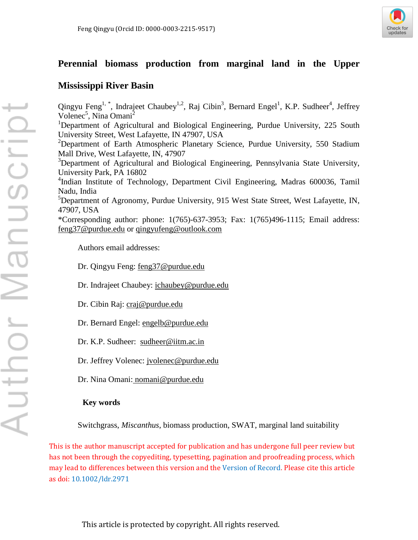

# **Perennial biomass production from marginal land in the Upper**

# **Mississippi River Basin**

Qingyu Feng<sup>1,\*</sup>, Indrajeet Chaubey<sup>1,2</sup>, Raj Cibin<sup>3</sup>, Bernard Engel<sup>1</sup>, K.P. Sudheer<sup>4</sup>, Jeffrey Volenec<sup>5</sup>, Nina Omani<sup>2</sup> <sup>1</sup>Department of Agricultural and Biological Engineering, Purdue University, 225 South University Street, West Lafayette, IN 47907, USA <sup>2</sup>Department of Earth Atmospheric Planetary Science, Purdue University, 550 Stadium Mall Drive, West Lafayette, IN, 47907 <sup>3</sup>Department of Agricultural and Biological Engineering, Pennsylvania State University, University Park, PA 16802 4 Indian Institute of Technology, Department Civil Engineering, Madras 600036, Tamil Nadu, India <sup>5</sup>Department of Agronomy, Purdue University, 915 West State Street, West Lafayette, IN, 47907, USA \*Corresponding author: phone: 1(765)-637-3953; Fax: 1(765)496-1115; Email address: feng37@purdue.edu or qingyufeng@outlook.com

Authors email addresses:

Dr. Qingyu Feng: feng37@purdue.edu

Dr. Indrajeet Chaubey: ichaubey@purdue.edu

Dr. Cibin Raj: craj@purdue.edu

Dr. Bernard Engel: engelb@purdue.edu

Dr. K.P. Sudheer: sudheer@iitm.ac.in

Dr. Jeffrey Volenec: jvolenec@purdue.edu

Dr. Nina Omani: nomani@purdue.edu

# **Key words**

Switchgrass, *Miscanthus*, biomass production, SWAT, marginal land suitability

This is the author manuscript accepted for publication and has undergone full peer review but has not been through the copyediting, typesetting, pagination and proofreading process, which may lead to differences between this version and the [Version of Record](http://dx.doi.org/10.1002/ldr.2971). Please cite this article as doi: [10.1002/ldr.2971](http://dx.doi.org/10.1002/ldr.2971)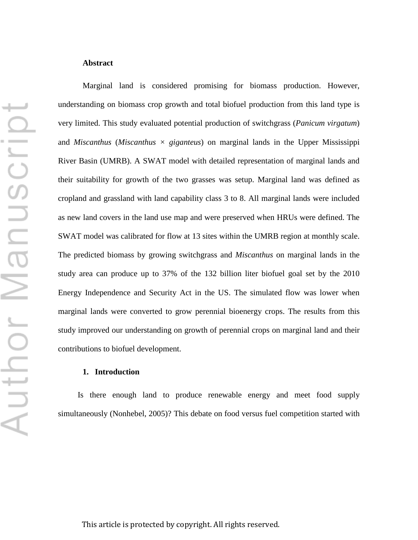Marginal land is considered promising for biomass production. However, understanding on biomass crop growth and total biofuel production from this land type is very limited. This study evaluated potential production of switchgrass (*Panicum virgatum*) and *Miscanthus* (*Miscanthus × giganteus*) on marginal lands in the Upper Mississippi River Basin (UMRB). A SWAT model with detailed representation of marginal lands and their suitability for growth of the two grasses was setup. Marginal land was defined as cropland and grassland with land capability class 3 to 8. All marginal lands were included as new land covers in the land use map and were preserved when HRUs were defined. The SWAT model was calibrated for flow at 13 sites within the UMRB region at monthly scale. The predicted biomass by growing switchgrass and *Miscanthus* on marginal lands in the study area can produce up to 37% of the 132 billion liter biofuel goal set by the 2010 Energy Independence and Security Act in the US. The simulated flow was lower when marginal lands were converted to grow perennial bioenergy crops. The results from this study improved our understanding on growth of perennial crops on marginal land and their contributions to biofuel development.

## **1. Introduction**

Is there enough land to produce renewable energy and meet food supply simultaneously (Nonhebel, 2005)? This debate on food versus fuel competition started with

↽ Author Manuscrip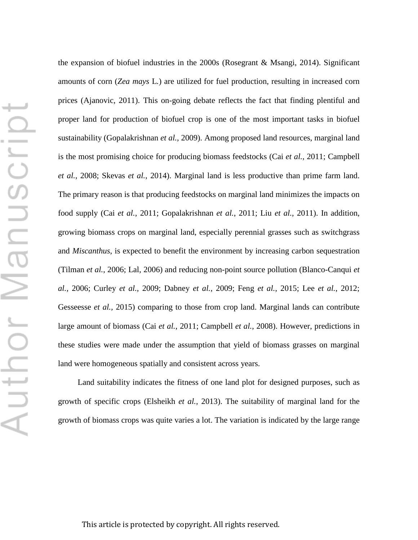the expansion of biofuel industries in the 2000s (Rosegrant & Msangi, 2014). Significant amounts of corn (*Zea mays* L*.*) are utilized for fuel production, resulting in increased corn prices (Ajanovic, 2011). This on-going debate reflects the fact that finding plentiful and proper land for production of biofuel crop is one of the most important tasks in biofuel sustainability (Gopalakrishnan *et al.*, 2009). Among proposed land resources, marginal land is the most promising choice for producing biomass feedstocks (Cai *et al.*, 2011; Campbell *et al.*, 2008; Skevas *et al.*, 2014). Marginal land is less productive than prime farm land. The primary reason is that producing feedstocks on marginal land minimizes the impacts on food supply (Cai *et al.*, 2011; Gopalakrishnan *et al.*, 2011; Liu *et al.*, 2011). In addition, growing biomass crops on marginal land, especially perennial grasses such as switchgrass and *Miscanthus*, is expected to benefit the environment by increasing carbon sequestration (Tilman *et al.*, 2006; Lal, 2006) and reducing non-point source pollution (Blanco-Canqui *et al.*, 2006; Curley *et al.*, 2009; Dabney *et al.*, 2009; Feng *et al.*, 2015; Lee *et al.*, 2012; Gesseesse *et al.,* 2015) comparing to those from crop land. Marginal lands can contribute large amount of biomass (Cai *et al.*, 2011; Campbell *et al.*, 2008). However, predictions in these studies were made under the assumption that yield of biomass grasses on marginal land were homogeneous spatially and consistent across years.

Land suitability indicates the fitness of one land plot for designed purposes, such as growth of specific crops (Elsheikh *et al.*, 2013). The suitability of marginal land for the growth of biomass crops was quite varies a lot. The variation is indicated by the large range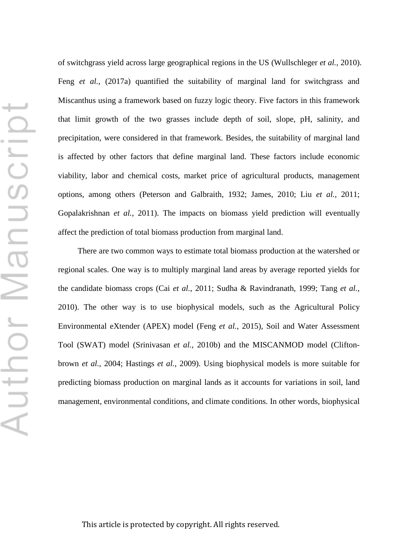of switchgrass yield across large geographical regions in the US (Wullschleger *et al.*, 2010). Feng *et al.*, (2017a) quantified the suitability of marginal land for switchgrass and Miscanthus using a framework based on fuzzy logic theory. Five factors in this framework that limit growth of the two grasses include depth of soil, slope, pH, salinity, and precipitation, were considered in that framework. Besides, the suitability of marginal land is affected by other factors that define marginal land. These factors include economic viability, labor and chemical costs, market price of agricultural products, management options, among others (Peterson and Galbraith, 1932; James, 2010; Liu *et al.,* 2011; Gopalakrishnan *et al.*, 2011). The impacts on biomass yield prediction will eventually affect the prediction of total biomass production from marginal land.

There are two common ways to estimate total biomass production at the watershed or regional scales. One way is to multiply marginal land areas by average reported yields for the candidate biomass crops (Cai *et al.*, 2011; Sudha & Ravindranath, 1999; Tang *et al.*, 2010). The other way is to use biophysical models, such as the Agricultural Policy Environmental eXtender (APEX) model (Feng *et al.*, 2015), Soil and Water Assessment Tool (SWAT) model (Srinivasan *et al.*, 2010b) and the MISCANMOD model (Cliftonbrown *et al.*, 2004; Hastings *et al.*, 2009). Using biophysical models is more suitable for predicting biomass production on marginal lands as it accounts for variations in soil, land management, environmental conditions, and climate conditions. In other words, biophysical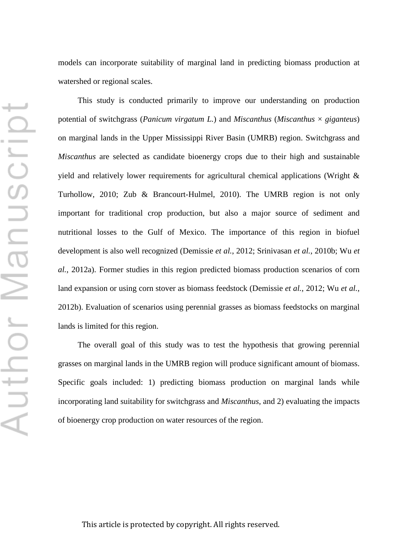models can incorporate suitability of marginal land in predicting biomass production at watershed or regional scales.

This study is conducted primarily to improve our understanding on production potential of switchgrass (*Panicum virgatum L.*) and *Miscanthus* (*Miscanthus* × *giganteus*) on marginal lands in the Upper Mississippi River Basin (UMRB) region. Switchgrass and *Miscanthus* are selected as candidate bioenergy crops due to their high and sustainable yield and relatively lower requirements for agricultural chemical applications (Wright & Turhollow, 2010; Zub & Brancourt-Hulmel, 2010). The UMRB region is not only important for traditional crop production, but also a major source of sediment and nutritional losses to the Gulf of Mexico. The importance of this region in biofuel development is also well recognized (Demissie *et al.*, 2012; Srinivasan *et al.*, 2010b; Wu *et al.*, 2012a). Former studies in this region predicted biomass production scenarios of corn land expansion or using corn stover as biomass feedstock (Demissie *et al.*, 2012; Wu *et al.*, 2012b). Evaluation of scenarios using perennial grasses as biomass feedstocks on marginal lands is limited for this region.

The overall goal of this study was to test the hypothesis that growing perennial grasses on marginal lands in the UMRB region will produce significant amount of biomass. Specific goals included: 1) predicting biomass production on marginal lands while incorporating land suitability for switchgrass and *Miscanthus*, and 2) evaluating the impacts of bioenergy crop production on water resources of the region.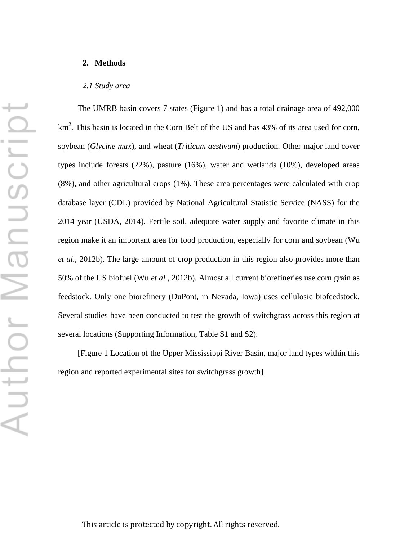#### **2. Methods**

#### *2.1 Study area*

The UMRB basin covers 7 states (Figure 1) and has a total drainage area of 492,000 km<sup>2</sup>. This basin is located in the Corn Belt of the US and has 43% of its area used for corn, soybean (*Glycine max*), and wheat (*Triticum aestivum*) production. Other major land cover types include forests (22%), pasture (16%), water and wetlands (10%), developed areas (8%), and other agricultural crops (1%). These area percentages were calculated with crop database layer (CDL) provided by National Agricultural Statistic Service (NASS) for the 2014 year (USDA, 2014). Fertile soil, adequate water supply and favorite climate in this region make it an important area for food production, especially for corn and soybean (Wu *et al.*, 2012b). The large amount of crop production in this region also provides more than 50% of the US biofuel (Wu *et al.*, 2012b). Almost all current biorefineries use corn grain as feedstock. Only one biorefinery (DuPont, in Nevada, Iowa) uses cellulosic biofeedstock. Several studies have been conducted to test the growth of switchgrass across this region at several locations (Supporting Information, Table S1 and S2).

[Figure 1 Location of the Upper Mississippi River Basin, major land types within this region and reported experimental sites for switchgrass growth]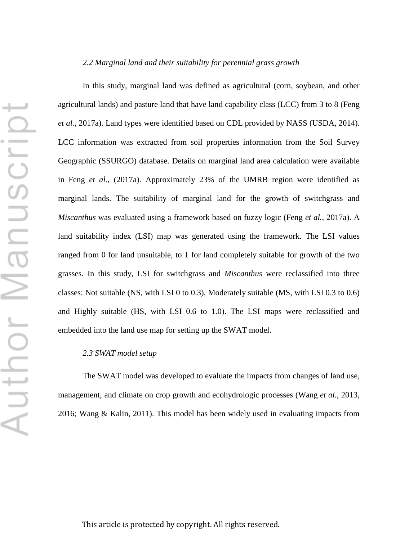#### *2.2 Marginal land and their suitability for perennial grass growth*

In this study, marginal land was defined as agricultural (corn, soybean, and other agricultural lands) and pasture land that have land capability class (LCC) from 3 to 8 (Feng *et al.*, 2017a). Land types were identified based on CDL provided by NASS (USDA, 2014). LCC information was extracted from soil properties information from the Soil Survey Geographic (SSURGO) database. Details on marginal land area calculation were available in Feng *et al.*, (2017a). Approximately 23% of the UMRB region were identified as marginal lands. The suitability of marginal land for the growth of switchgrass and *Miscanthus* was evaluated using a framework based on fuzzy logic (Feng *et al.*, 2017a). A land suitability index (LSI) map was generated using the framework. The LSI values ranged from 0 for land unsuitable, to 1 for land completely suitable for growth of the two grasses. In this study, LSI for switchgrass and *Miscanthus* were reclassified into three classes: Not suitable (NS, with LSI 0 to 0.3), Moderately suitable (MS, with LSI 0.3 to 0.6) and Highly suitable (HS, with LSI 0.6 to 1.0). The LSI maps were reclassified and embedded into the land use map for setting up the SWAT model.

#### *2.3 SWAT model setup*

The SWAT model was developed to evaluate the impacts from changes of land use, management, and climate on crop growth and ecohydrologic processes (Wang *et al.*, 2013, 2016; Wang & Kalin, 2011). This model has been widely used in evaluating impacts from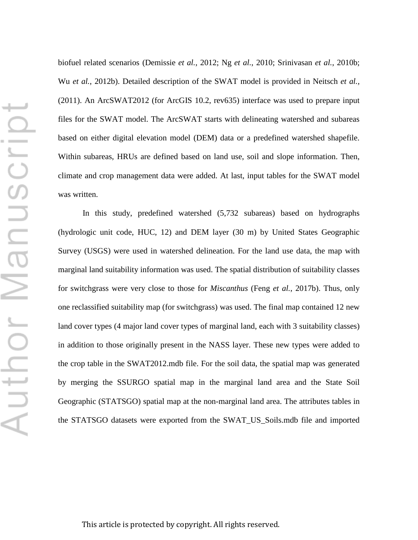biofuel related scenarios (Demissie *et al.*, 2012; Ng *et al.*, 2010; Srinivasan *et al.*, 2010b; Wu *et al.*, 2012b). Detailed description of the SWAT model is provided in Neitsch *et al.,* (2011). An ArcSWAT2012 (for ArcGIS 10.2, rev635) interface was used to prepare input files for the SWAT model. The ArcSWAT starts with delineating watershed and subareas based on either digital elevation model (DEM) data or a predefined watershed shapefile. Within subareas, HRUs are defined based on land use, soil and slope information. Then, climate and crop management data were added. At last, input tables for the SWAT model was written.

In this study, predefined watershed (5,732 subareas) based on hydrographs (hydrologic unit code, HUC, 12) and DEM layer (30 m) by United States Geographic Survey (USGS) were used in watershed delineation. For the land use data, the map with marginal land suitability information was used. The spatial distribution of suitability classes for switchgrass were very close to those for *Miscanthus* (Feng *et al.*, 2017b). Thus, only one reclassified suitability map (for switchgrass) was used. The final map contained 12 new land cover types (4 major land cover types of marginal land, each with 3 suitability classes) in addition to those originally present in the NASS layer. These new types were added to the crop table in the SWAT2012.mdb file. For the soil data, the spatial map was generated by merging the SSURGO spatial map in the marginal land area and the State Soil Geographic (STATSGO) spatial map at the non-marginal land area. The attributes tables in the STATSGO datasets were exported from the SWAT\_US\_Soils.mdb file and imported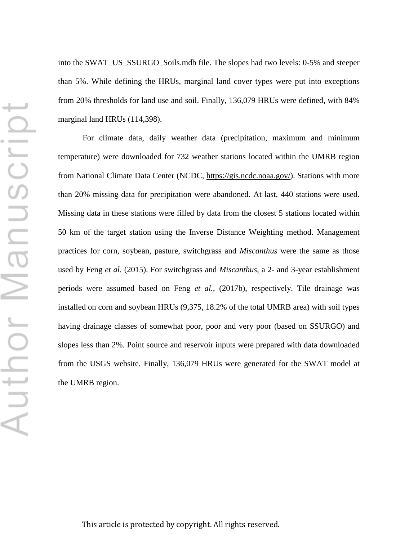into the SWAT\_US\_SSURGO\_Soils.mdb file. The slopes had two levels: 0-5% and steeper than 5%. While defining the HRUs, marginal land cover types were put into exceptions from 20% thresholds for land use and soil. Finally, 136,079 HRUs were defined, with 84% marginal land HRUs (114,398).

For climate data, daily weather data (precipitation, maximum and minimum temperature) were downloaded for 732 weather stations located within the UMRB region from National Climate Data Center (NCDC, https://gis.ncdc.noaa.gov/). Stations with more than 20% missing data for precipitation were abandoned. At last, 440 stations were used. Missing data in these stations were filled by data from the closest 5 stations located within 50 km of the target station using the Inverse Distance Weighting method. Management practices for corn, soybean, pasture, switchgrass and *Miscanthus* were the same as those used by Feng *et al.* (2015). For switchgrass and *Miscanthus*, a 2- and 3-year establishment periods were assumed based on Feng *et al.*, (2017b), respectively. Tile drainage was installed on corn and soybean HRUs (9,375, 18.2% of the total UMRB area) with soil types having drainage classes of somewhat poor, poor and very poor (based on SSURGO) and slopes less than 2%. Point source and reservoir inputs were prepared with data downloaded from the USGS website. Finally, 136,079 HRUs were generated for the SWAT model at the UMRB region.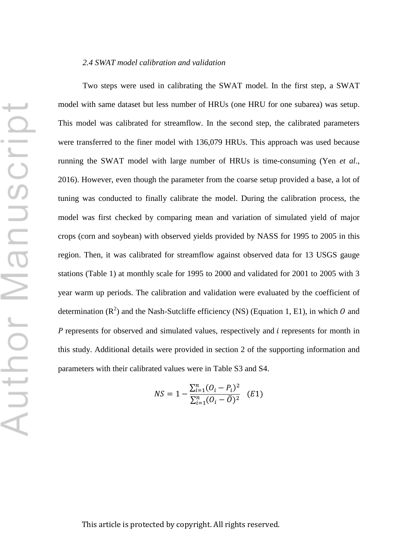Two steps were used in calibrating the SWAT model. In the first step, a SWAT model with same dataset but less number of HRUs (one HRU for one subarea) was setup. This model was calibrated for streamflow. In the second step, the calibrated parameters were transferred to the finer model with 136,079 HRUs. This approach was used because running the SWAT model with large number of HRUs is time-consuming (Yen *et al*., 2016). However, even though the parameter from the coarse setup provided a base, a lot of tuning was conducted to finally calibrate the model. During the calibration process, the model was first checked by comparing mean and variation of simulated yield of major crops (corn and soybean) with observed yields provided by NASS for 1995 to 2005 in this region. Then, it was calibrated for streamflow against observed data for 13 USGS gauge stations (Table 1) at monthly scale for 1995 to 2000 and validated for 2001 to 2005 with 3 year warm up periods. The calibration and validation were evaluated by the coefficient of determination  $(R^2)$  and the Nash-Sutcliffe efficiency (NS) (Equation 1, E1), in which O and  *represents for observed and simulated values, respectively and*  $*i*$  *represents for month in* this study. Additional details were provided in section 2 of the supporting information and parameters with their calibrated values were in Table S3 and S4.

$$
NS = 1 - \frac{\sum_{i=1}^{n} (O_i - P_i)^2}{\sum_{i=1}^{n} (O_i - \overline{O})^2} \quad (E1)
$$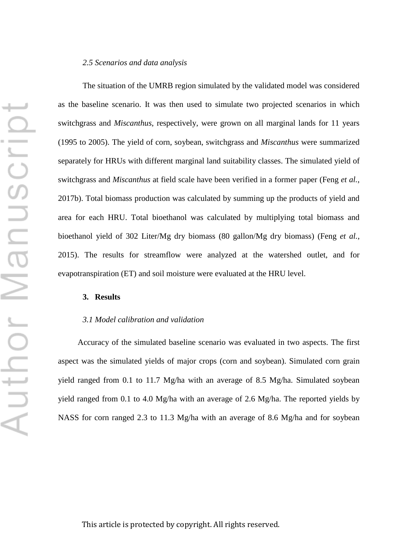#### *2.5 Scenarios and data analysis*

The situation of the UMRB region simulated by the validated model was considered as the baseline scenario. It was then used to simulate two projected scenarios in which switchgrass and *Miscanthus*, respectively, were grown on all marginal lands for 11 years (1995 to 2005). The yield of corn, soybean, switchgrass and *Miscanthus* were summarized separately for HRUs with different marginal land suitability classes. The simulated yield of switchgrass and *Miscanthus* at field scale have been verified in a former paper (Feng *et al.*, 2017b). Total biomass production was calculated by summing up the products of yield and area for each HRU. Total bioethanol was calculated by multiplying total biomass and bioethanol yield of 302 Liter/Mg dry biomass (80 gallon/Mg dry biomass) (Feng *et al.*, 2015). The results for streamflow were analyzed at the watershed outlet, and for evapotranspiration (ET) and soil moisture were evaluated at the HRU level.

#### **3. Results**

### *3.1 Model calibration and validation*

Accuracy of the simulated baseline scenario was evaluated in two aspects. The first aspect was the simulated yields of major crops (corn and soybean). Simulated corn grain yield ranged from 0.1 to 11.7 Mg/ha with an average of 8.5 Mg/ha. Simulated soybean yield ranged from 0.1 to 4.0 Mg/ha with an average of 2.6 Mg/ha. The reported yields by NASS for corn ranged 2.3 to 11.3 Mg/ha with an average of 8.6 Mg/ha and for soybean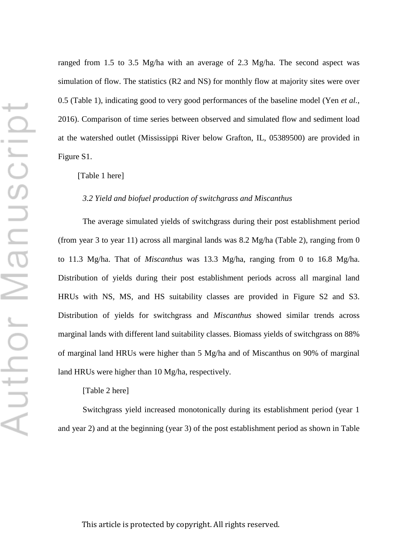ranged from 1.5 to 3.5 Mg/ha with an average of 2.3 Mg/ha. The second aspect was simulation of flow. The statistics (R2 and NS) for monthly flow at majority sites were over 0.5 (Table 1), indicating good to very good performances of the baseline model (Yen *et al.*, 2016). Comparison of time series between observed and simulated flow and sediment load at the watershed outlet (Mississippi River below Grafton, IL, 05389500) are provided in Figure S1.

### [Table 1 here]

## *3.2 Yield and biofuel production of switchgrass and Miscanthus*

The average simulated yields of switchgrass during their post establishment period (from year 3 to year 11) across all marginal lands was  $8.2 \text{ Mg/ha}$  (Table 2), ranging from 0 to 11.3 Mg/ha. That of *Miscanthus* was 13.3 Mg/ha, ranging from 0 to 16.8 Mg/ha. Distribution of yields during their post establishment periods across all marginal land HRUs with NS, MS, and HS suitability classes are provided in Figure S2 and S3. Distribution of yields for switchgrass and *Miscanthus* showed similar trends across marginal lands with different land suitability classes. Biomass yields of switchgrass on 88% of marginal land HRUs were higher than 5 Mg/ha and of Miscanthus on 90% of marginal land HRUs were higher than 10 Mg/ha, respectively.

#### [Table 2 here]

Switchgrass yield increased monotonically during its establishment period (year 1 and year 2) and at the beginning (year 3) of the post establishment period as shown in Table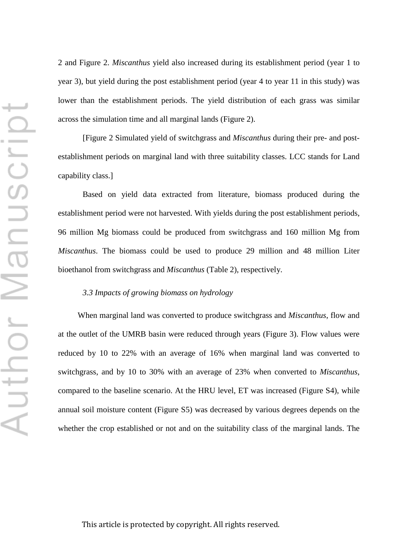2 and Figure 2. *Miscanthus* yield also increased during its establishment period (year 1 to year 3), but yield during the post establishment period (year 4 to year 11 in this study) was lower than the establishment periods. The yield distribution of each grass was similar across the simulation time and all marginal lands (Figure 2).

[Figure 2 Simulated yield of switchgrass and *Miscanthus* during their pre- and postestablishment periods on marginal land with three suitability classes. LCC stands for Land capability class.]

Based on yield data extracted from literature, biomass produced during the establishment period were not harvested. With yields during the post establishment periods, 96 million Mg biomass could be produced from switchgrass and 160 million Mg from *Miscanthus*. The biomass could be used to produce 29 million and 48 million Liter bioethanol from switchgrass and *Miscanthus* (Table 2), respectively.

# *3.3 Impacts of growing biomass on hydrology*

When marginal land was converted to produce switchgrass and *Miscanthus*, flow and at the outlet of the UMRB basin were reduced through years (Figure 3). Flow values were reduced by 10 to 22% with an average of 16% when marginal land was converted to switchgrass, and by 10 to 30% with an average of 23% when converted to *Miscanthus*, compared to the baseline scenario. At the HRU level, ET was increased (Figure S4), while annual soil moisture content (Figure S5) was decreased by various degrees depends on the whether the crop established or not and on the suitability class of the marginal lands. The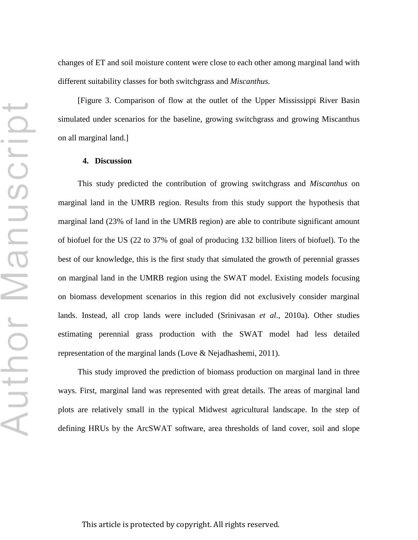changes of ET and soil moisture content were close to each other among marginal land with different suitability classes for both switchgrass and *Miscanthus.*

[Figure 3. Comparison of flow at the outlet of the Upper Mississippi River Basin simulated under scenarios for the baseline, growing switchgrass and growing Miscanthus on all marginal land.]

## **4. Discussion**

This study predicted the contribution of growing switchgrass and *Miscanthus* on marginal land in the UMRB region. Results from this study support the hypothesis that marginal land (23% of land in the UMRB region) are able to contribute significant amount of biofuel for the US (22 to 37% of goal of producing 132 billion liters of biofuel). To the best of our knowledge, this is the first study that simulated the growth of perennial grasses on marginal land in the UMRB region using the SWAT model. Existing models focusing on biomass development scenarios in this region did not exclusively consider marginal lands. Instead, all crop lands were included (Srinivasan *et al.*, 2010a). Other studies estimating perennial grass production with the SWAT model had less detailed representation of the marginal lands (Love & Nejadhashemi, 2011).

This study improved the prediction of biomass production on marginal land in three ways. First, marginal land was represented with great details. The areas of marginal land plots are relatively small in the typical Midwest agricultural landscape. In the step of defining HRUs by the ArcSWAT software, area thresholds of land cover, soil and slope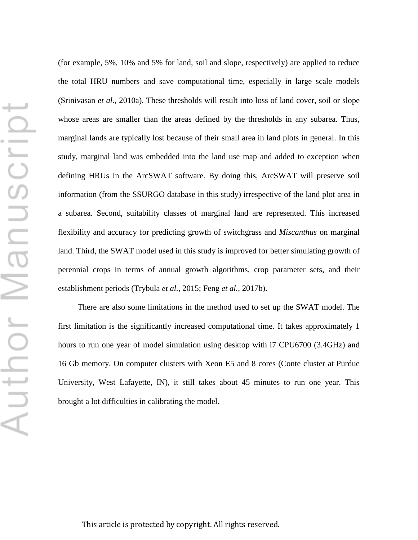(for example, 5%, 10% and 5% for land, soil and slope, respectively) are applied to reduce the total HRU numbers and save computational time, especially in large scale models (Srinivasan *et al.*, 2010a). These thresholds will result into loss of land cover, soil or slope whose areas are smaller than the areas defined by the thresholds in any subarea. Thus, marginal lands are typically lost because of their small area in land plots in general. In this study, marginal land was embedded into the land use map and added to exception when defining HRUs in the ArcSWAT software. By doing this, ArcSWAT will preserve soil information (from the SSURGO database in this study) irrespective of the land plot area in a subarea. Second, suitability classes of marginal land are represented. This increased flexibility and accuracy for predicting growth of switchgrass and *Miscanthus* on marginal land. Third, the SWAT model used in this study is improved for better simulating growth of perennial crops in terms of annual growth algorithms, crop parameter sets, and their establishment periods (Trybula *et al.,* 2015; Feng *et al.,* 2017b).

There are also some limitations in the method used to set up the SWAT model. The first limitation is the significantly increased computational time. It takes approximately 1 hours to run one year of model simulation using desktop with i7 CPU6700 (3.4GHz) and 16 Gb memory. On computer clusters with Xeon E5 and 8 cores (Conte cluster at Purdue University, West Lafayette, IN), it still takes about 45 minutes to run one year. This brought a lot difficulties in calibrating the model.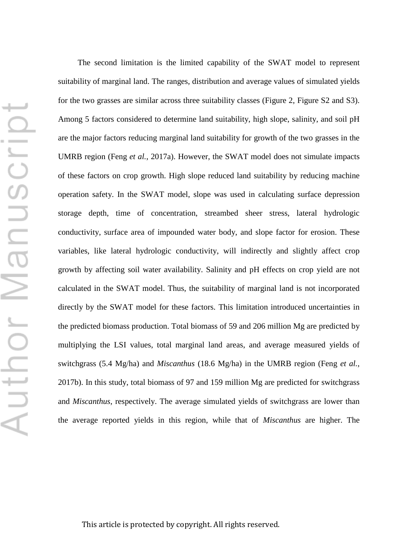The second limitation is the limited capability of the SWAT model to represent suitability of marginal land. The ranges, distribution and average values of simulated yields for the two grasses are similar across three suitability classes (Figure 2, Figure S2 and S3). Among 5 factors considered to determine land suitability, high slope, salinity, and soil pH are the major factors reducing marginal land suitability for growth of the two grasses in the UMRB region (Feng *et al.*, 2017a). However, the SWAT model does not simulate impacts of these factors on crop growth. High slope reduced land suitability by reducing machine operation safety. In the SWAT model, slope was used in calculating surface depression storage depth, time of concentration, streambed sheer stress, lateral hydrologic conductivity, surface area of impounded water body, and slope factor for erosion. These variables, like lateral hydrologic conductivity, will indirectly and slightly affect crop growth by affecting soil water availability. Salinity and pH effects on crop yield are not calculated in the SWAT model. Thus, the suitability of marginal land is not incorporated directly by the SWAT model for these factors. This limitation introduced uncertainties in the predicted biomass production. Total biomass of 59 and 206 million Mg are predicted by multiplying the LSI values, total marginal land areas, and average measured yields of switchgrass (5.4 Mg/ha) and *Miscanthus* (18.6 Mg/ha) in the UMRB region (Feng *et al.*, 2017b). In this study, total biomass of 97 and 159 million Mg are predicted for switchgrass and *Miscanthus*, respectively. The average simulated yields of switchgrass are lower than the average reported yields in this region, while that of *Miscanthus* are higher. The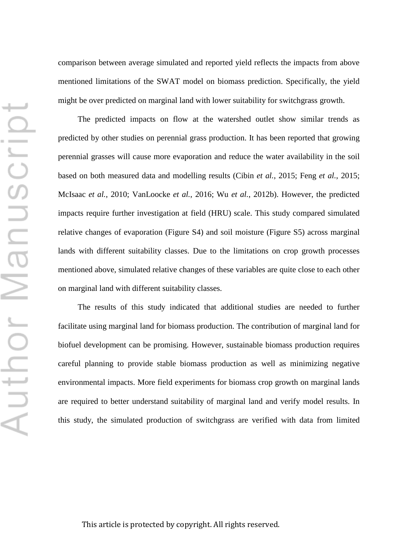comparison between average simulated and reported yield reflects the impacts from above mentioned limitations of the SWAT model on biomass prediction. Specifically, the yield might be over predicted on marginal land with lower suitability for switchgrass growth.

The predicted impacts on flow at the watershed outlet show similar trends as predicted by other studies on perennial grass production. It has been reported that growing perennial grasses will cause more evaporation and reduce the water availability in the soil based on both measured data and modelling results (Cibin *et al.*, 2015; Feng *et al.*, 2015; McIsaac *et al.*, 2010; VanLoocke *et al.*, 2016; Wu *et al.*, 2012b). However, the predicted impacts require further investigation at field (HRU) scale. This study compared simulated relative changes of evaporation (Figure S4) and soil moisture (Figure S5) across marginal lands with different suitability classes. Due to the limitations on crop growth processes mentioned above, simulated relative changes of these variables are quite close to each other on marginal land with different suitability classes.

The results of this study indicated that additional studies are needed to further facilitate using marginal land for biomass production. The contribution of marginal land for biofuel development can be promising. However, sustainable biomass production requires careful planning to provide stable biomass production as well as minimizing negative environmental impacts. More field experiments for biomass crop growth on marginal lands are required to better understand suitability of marginal land and verify model results. In this study, the simulated production of switchgrass are verified with data from limited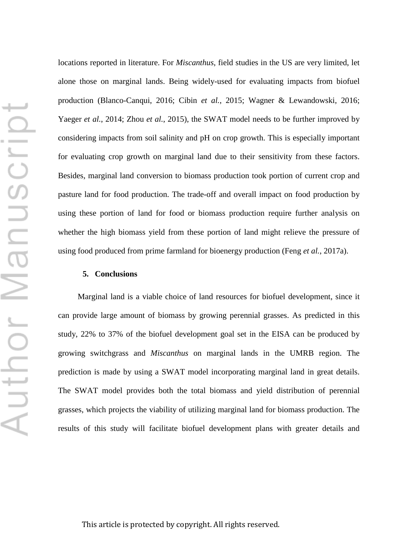locations reported in literature. For *Miscanthus*, field studies in the US are very limited, let alone those on marginal lands. Being widely-used for evaluating impacts from biofuel production (Blanco-Canqui, 2016; Cibin *et al.*, 2015; Wagner & Lewandowski, 2016; Yaeger *et al.*, 2014; Zhou *et al.*, 2015), the SWAT model needs to be further improved by considering impacts from soil salinity and pH on crop growth. This is especially important for evaluating crop growth on marginal land due to their sensitivity from these factors. Besides, marginal land conversion to biomass production took portion of current crop and pasture land for food production. The trade-off and overall impact on food production by using these portion of land for food or biomass production require further analysis on whether the high biomass yield from these portion of land might relieve the pressure of using food produced from prime farmland for bioenergy production (Feng *et al.*, 2017a).

# **5. Conclusions**

Marginal land is a viable choice of land resources for biofuel development, since it can provide large amount of biomass by growing perennial grasses. As predicted in this study, 22% to 37% of the biofuel development goal set in the EISA can be produced by growing switchgrass and *Miscanthus* on marginal lands in the UMRB region. The prediction is made by using a SWAT model incorporating marginal land in great details. The SWAT model provides both the total biomass and yield distribution of perennial grasses, which projects the viability of utilizing marginal land for biomass production. The results of this study will facilitate biofuel development plans with greater details and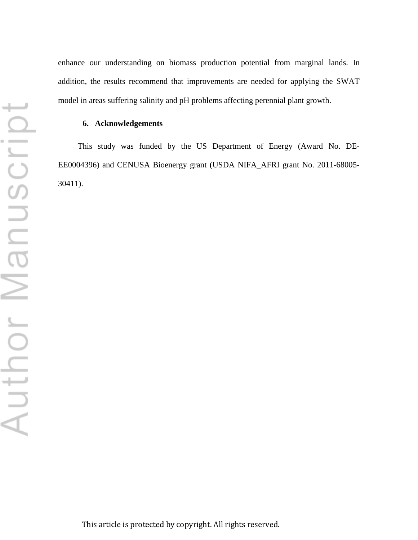enhance our understanding on biomass production potential from marginal lands. In addition, the results recommend that improvements are needed for applying the SWAT model in areas suffering salinity and pH problems affecting perennial plant growth.

# **6. Acknowledgements**

This study was funded by the US Department of Energy (Award No. DE-EE0004396) and CENUSA Bioenergy grant (USDA NIFA\_AFRI grant No. 2011-68005- 30411).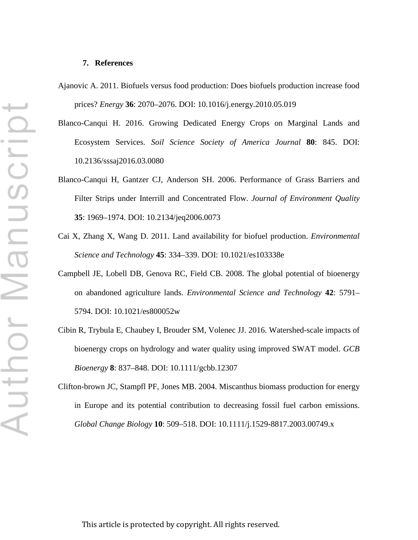#### **7. References**

- Ajanovic A. 2011. Biofuels versus food production: Does biofuels production increase food prices? *Energy* **36**: 2070–2076. DOI: 10.1016/j.energy.2010.05.019
- Blanco-Canqui H. 2016. Growing Dedicated Energy Crops on Marginal Lands and Ecosystem Services. *Soil Science Society of America Journal* **80**: 845. DOI: 10.2136/sssaj2016.03.0080
- Blanco-Canqui H, Gantzer CJ, Anderson SH. 2006. Performance of Grass Barriers and Filter Strips under Interrill and Concentrated Flow. *Journal of Environment Quality* **35**: 1969–1974. DOI: 10.2134/jeq2006.0073
- Cai X, Zhang X, Wang D. 2011. Land availability for biofuel production. *Environmental Science and Technology* **45**: 334–339. DOI: 10.1021/es103338e
- Campbell JE, Lobell DB, Genova RC, Field CB. 2008. The global potential of bioenergy on abandoned agriculture lands. *Environmental Science and Technology* **42**: 5791– 5794. DOI: 10.1021/es800052w
- Cibin R, Trybula E, Chaubey I, Brouder SM, Volenec JJ. 2016. Watershed-scale impacts of bioenergy crops on hydrology and water quality using improved SWAT model. *GCB Bioenergy* **8**: 837–848. DOI: 10.1111/gcbb.12307
- Clifton-brown JC, Stampfl PF, Jones MB. 2004. Miscanthus biomass production for energy in Europe and its potential contribution to decreasing fossil fuel carbon emissions. *Global Change Biology* **10**: 509–518. DOI: 10.1111/j.1529-8817.2003.00749.x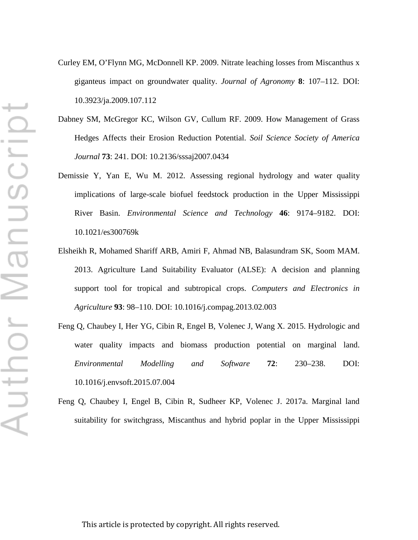- Curley EM, O'Flynn MG, McDonnell KP. 2009. Nitrate leaching losses from Miscanthus x giganteus impact on groundwater quality. *Journal of Agronomy* **8**: 107–112. DOI: 10.3923/ja.2009.107.112
- Dabney SM, McGregor KC, Wilson GV, Cullum RF. 2009. How Management of Grass Hedges Affects their Erosion Reduction Potential. *Soil Science Society of America Journal* **73**: 241. DOI: 10.2136/sssaj2007.0434
- Demissie Y, Yan E, Wu M. 2012. Assessing regional hydrology and water quality implications of large-scale biofuel feedstock production in the Upper Mississippi River Basin. *Environmental Science and Technology* **46**: 9174–9182. DOI: 10.1021/es300769k
- Elsheikh R, Mohamed Shariff ARB, Amiri F, Ahmad NB, Balasundram SK, Soom MAM. 2013. Agriculture Land Suitability Evaluator (ALSE): A decision and planning support tool for tropical and subtropical crops. *Computers and Electronics in Agriculture* **93**: 98–110. DOI: 10.1016/j.compag.2013.02.003
- Feng Q, Chaubey I, Her YG, Cibin R, Engel B, Volenec J, Wang X. 2015. Hydrologic and water quality impacts and biomass production potential on marginal land. *Environmental Modelling and Software* **72**: 230–238. DOI: 10.1016/j.envsoft.2015.07.004
- Feng Q, Chaubey I, Engel B, Cibin R, Sudheer KP, Volenec J. 2017a. Marginal land suitability for switchgrass, Miscanthus and hybrid poplar in the Upper Mississippi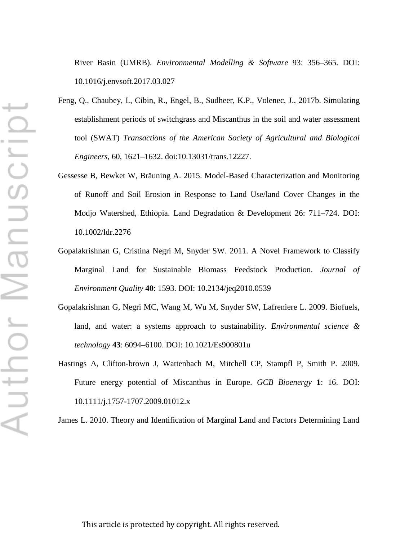River Basin (UMRB). *Environmental Modelling & Software* 93: 356–365. DOI: 10.1016/j.envsoft.2017.03.027

- Feng, Q., Chaubey, I., Cibin, R., Engel, B., Sudheer, K.P., Volenec, J., 2017b. Simulating establishment periods of switchgrass and Miscanthus in the soil and water assessment tool (SWAT) *Transactions of the American Society of Agricultural and Biological Engineers*, 60, 1621–1632. doi:10.13031/trans.12227.
- Gessesse B, Bewket W, Bräuning A. 2015. Model-Based Characterization and Monitoring of Runoff and Soil Erosion in Response to Land Use/land Cover Changes in the Modjo Watershed, Ethiopia. Land Degradation & Development 26: 711–724. DOI: 10.1002/ldr.2276
- Gopalakrishnan G, Cristina Negri M, Snyder SW. 2011. A Novel Framework to Classify Marginal Land for Sustainable Biomass Feedstock Production. *Journal of Environment Quality* **40**: 1593. DOI: 10.2134/jeq2010.0539
- Gopalakrishnan G, Negri MC, Wang M, Wu M, Snyder SW, Lafreniere L. 2009. Biofuels, land, and water: a systems approach to sustainability. *Environmental science & technology* **43**: 6094–6100. DOI: 10.1021/Es900801u
- Hastings A, Clifton-brown J, Wattenbach M, Mitchell CP, Stampfl P, Smith P. 2009. Future energy potential of Miscanthus in Europe. *GCB Bioenergy* **1**: 16. DOI: 10.1111/j.1757-1707.2009.01012.x

James L. 2010. Theory and Identification of Marginal Land and Factors Determining Land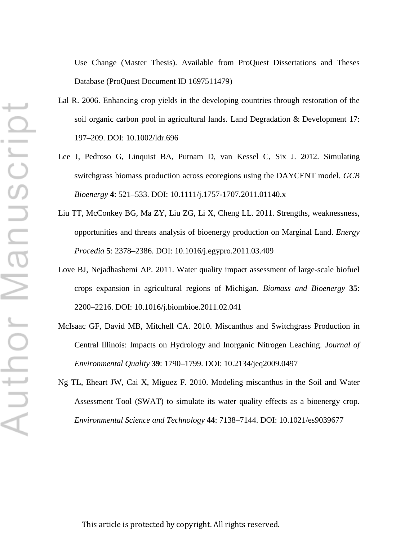Use Change (Master Thesis). Available from ProQuest Dissertations and Theses Database (ProQuest Document ID 1697511479)

- Lal R. 2006. Enhancing crop yields in the developing countries through restoration of the soil organic carbon pool in agricultural lands. Land Degradation & Development 17: 197–209. DOI: 10.1002/ldr.696
- Lee J, Pedroso G, Linquist BA, Putnam D, van Kessel C, Six J. 2012. Simulating switchgrass biomass production across ecoregions using the DAYCENT model. *GCB Bioenergy* **4**: 521–533. DOI: 10.1111/j.1757-1707.2011.01140.x
- Liu TT, McConkey BG, Ma ZY, Liu ZG, Li X, Cheng LL. 2011. Strengths, weaknessness, opportunities and threats analysis of bioenergy production on Marginal Land. *Energy Procedia* **5**: 2378–2386. DOI: 10.1016/j.egypro.2011.03.409
- Love BJ, Nejadhashemi AP. 2011. Water quality impact assessment of large-scale biofuel crops expansion in agricultural regions of Michigan. *Biomass and Bioenergy* **35**: 2200–2216. DOI: 10.1016/j.biombioe.2011.02.041
- McIsaac GF, David MB, Mitchell CA. 2010. Miscanthus and Switchgrass Production in Central Illinois: Impacts on Hydrology and Inorganic Nitrogen Leaching. *Journal of Environmental Quality* **39**: 1790–1799. DOI: 10.2134/jeq2009.0497
- Ng TL, Eheart JW, Cai X, Miguez F. 2010. Modeling miscanthus in the Soil and Water Assessment Tool (SWAT) to simulate its water quality effects as a bioenergy crop. *Environmental Science and Technology* **44**: 7138–7144. DOI: 10.1021/es9039677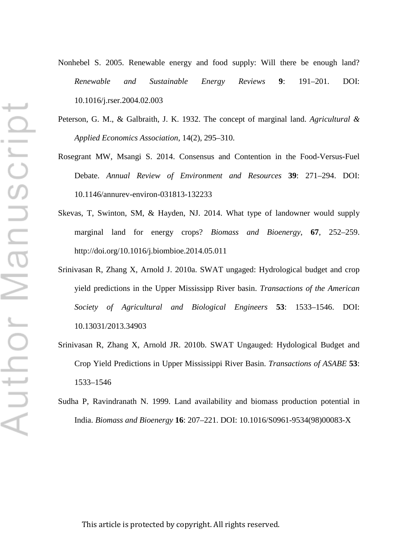- Nonhebel S. 2005. Renewable energy and food supply: Will there be enough land? *Renewable and Sustainable Energy Reviews* **9**: 191–201. DOI: 10.1016/j.rser.2004.02.003
- Peterson, G. M., & Galbraith, J. K. 1932. The concept of marginal land. *Agricultural & Applied Economics Association*, 14(2), 295–310.
- Rosegrant MW, Msangi S. 2014. Consensus and Contention in the Food-Versus-Fuel Debate. *Annual Review of Environment and Resources* **39**: 271–294. DOI: 10.1146/annurev-environ-031813-132233
- Skevas, T, Swinton, SM, & Hayden, NJ. 2014. What type of landowner would supply marginal land for energy crops? *Biomass and Bioenergy*, **67**, 252–259. http://doi.org/10.1016/j.biombioe.2014.05.011
- Srinivasan R, Zhang X, Arnold J. 2010a. SWAT ungaged: Hydrological budget and crop yield predictions in the Upper Mississipp River basin. *Transactions of the American Society of Agricultural and Biological Engineers* **53**: 1533–1546. DOI: 10.13031/2013.34903
- Srinivasan R, Zhang X, Arnold JR. 2010b. SWAT Ungauged: Hydological Budget and Crop Yield Predictions in Upper Mississippi River Basin. *Transactions of ASABE* **53**: 1533–1546
- Sudha P, Ravindranath N. 1999. Land availability and biomass production potential in India. *Biomass and Bioenergy* **16**: 207–221. DOI: 10.1016/S0961-9534(98)00083-X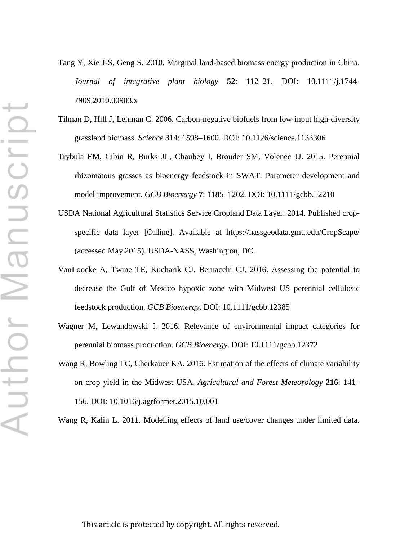Tang Y, Xie J-S, Geng S. 2010. Marginal land-based biomass energy production in China. *Journal of integrative plant biology* **52**: 112–21. DOI: 10.1111/j.1744- 7909.2010.00903.x

- Tilman D, Hill J, Lehman C. 2006. Carbon-negative biofuels from low-input high-diversity grassland biomass. *Science* **314**: 1598–1600. DOI: 10.1126/science.1133306
- Trybula EM, Cibin R, Burks JL, Chaubey I, Brouder SM, Volenec JJ. 2015. Perennial rhizomatous grasses as bioenergy feedstock in SWAT: Parameter development and model improvement. *GCB Bioenergy* **7**: 1185–1202. DOI: 10.1111/gcbb.12210
- USDA National Agricultural Statistics Service Cropland Data Layer. 2014. Published cropspecific data layer [Online]. Available at https://nassgeodata.gmu.edu/CropScape/ (accessed May 2015). USDA-NASS, Washington, DC.
- VanLoocke A, Twine TE, Kucharik CJ, Bernacchi CJ. 2016. Assessing the potential to decrease the Gulf of Mexico hypoxic zone with Midwest US perennial cellulosic feedstock production. *GCB Bioenergy*. DOI: 10.1111/gcbb.12385
- Wagner M, Lewandowski I. 2016. Relevance of environmental impact categories for perennial biomass production. *GCB Bioenergy*. DOI: 10.1111/gcbb.12372
- Wang R, Bowling LC, Cherkauer KA. 2016. Estimation of the effects of climate variability on crop yield in the Midwest USA. *Agricultural and Forest Meteorology* **216**: 141– 156. DOI: 10.1016/j.agrformet.2015.10.001

Wang R, Kalin L. 2011. Modelling effects of land use/cover changes under limited data.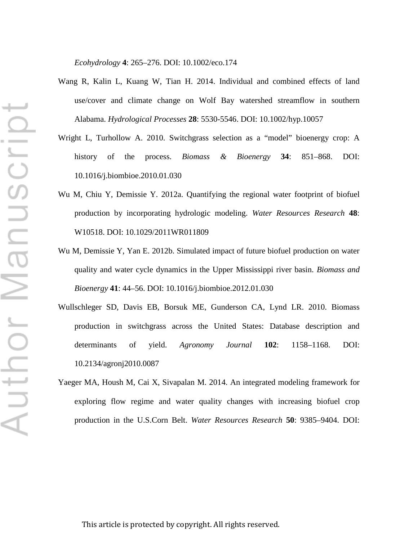*Ecohydrology* **4**: 265–276. DOI: 10.1002/eco.174

- Wang R, Kalin L, Kuang W, Tian H. 2014. Individual and combined effects of land use/cover and climate change on Wolf Bay watershed streamflow in southern Alabama. *Hydrological Processes* **28**: 5530-5546. DOI: 10.1002/hyp.10057
- Wright L, Turhollow A. 2010. Switchgrass selection as a "model" bioenergy crop: A history of the process. *Biomass & Bioenergy* **34**: 851–868. DOI: 10.1016/j.biombioe.2010.01.030
- Wu M, Chiu Y, Demissie Y. 2012a. Quantifying the regional water footprint of biofuel production by incorporating hydrologic modeling. *Water Resources Research* **48**: W10518. DOI: 10.1029/2011WR011809
- Wu M, Demissie Y, Yan E. 2012b. Simulated impact of future biofuel production on water quality and water cycle dynamics in the Upper Mississippi river basin. *Biomass and Bioenergy* **41**: 44–56. DOI: 10.1016/j.biombioe.2012.01.030
- Wullschleger SD, Davis EB, Borsuk ME, Gunderson CA, Lynd LR. 2010. Biomass production in switchgrass across the United States: Database description and determinants of yield. *Agronomy Journal* **102**: 1158–1168. DOI: 10.2134/agronj2010.0087
- Yaeger MA, Housh M, Cai X, Sivapalan M. 2014. An integrated modeling framework for exploring flow regime and water quality changes with increasing biofuel crop production in the U.S.Corn Belt. *Water Resources Research* **50**: 9385–9404. DOI: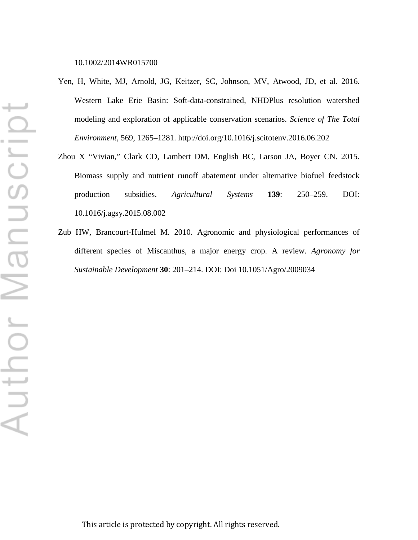- Yen, H, White, MJ, Arnold, JG, Keitzer, SC, Johnson, MV, Atwood, JD, et al. 2016. Western Lake Erie Basin: Soft-data-constrained, NHDPlus resolution watershed modeling and exploration of applicable conservation scenarios. *Science of The Total Environment,* 569, 1265–1281. http://doi.org/10.1016/j.scitotenv.2016.06.202
- Zhou X "Vivian," Clark CD, Lambert DM, English BC, Larson JA, Boyer CN. 2015. Biomass supply and nutrient runoff abatement under alternative biofuel feedstock production subsidies. *Agricultural Systems* **139**: 250–259. DOI: 10.1016/j.agsy.2015.08.002
- Zub HW, Brancourt-Hulmel M. 2010. Agronomic and physiological performances of different species of Miscanthus, a major energy crop. A review. *Agronomy for Sustainable Development* **30**: 201–214. DOI: Doi 10.1051/Agro/2009034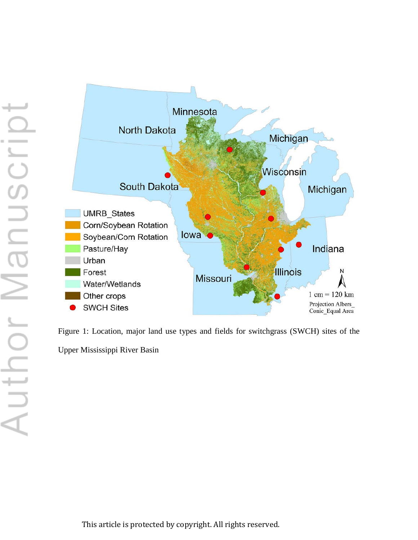

Figure 1: Location, major land use types and fields for switchgrass (SWCH) sites of the Upper Mississippi River Basin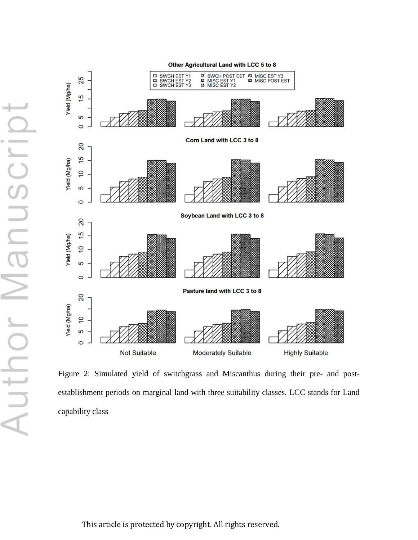

Figure 2: Simulated yield of switchgrass and Miscanthus during their pre- and postestablishment periods on marginal land with three suitability classes. LCC stands for Land capability class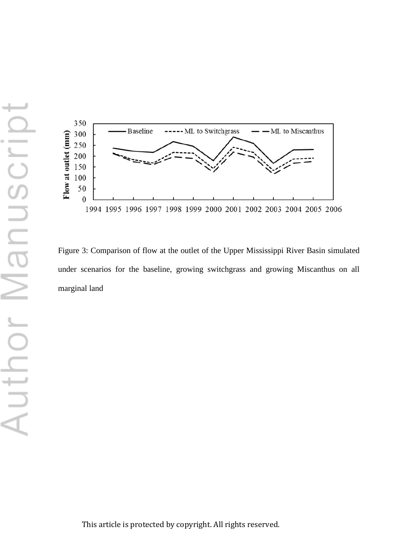

Figure 3: Comparison of flow at the outlet of the Upper Mississippi River Basin simulated under scenarios for the baseline, growing switchgrass and growing Miscanthus on all marginal land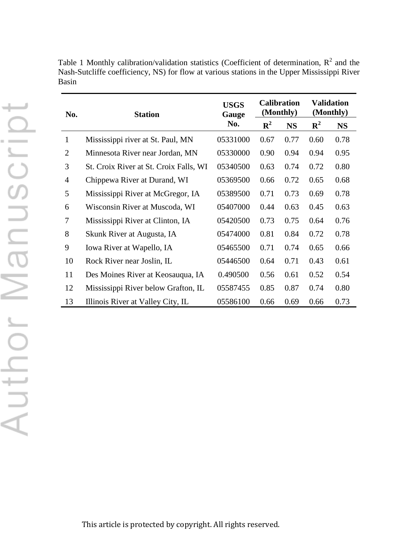| No.            | <b>Station</b>                         | <b>USGS</b><br>Gauge | <b>Calibration</b><br>(Monthly) |           | <b>Validation</b><br>(Monthly) |           |
|----------------|----------------------------------------|----------------------|---------------------------------|-----------|--------------------------------|-----------|
|                |                                        | No.                  | ${\bf R}^2$                     | <b>NS</b> | ${\bf R}^2$                    | <b>NS</b> |
| $\mathbf{1}$   | Mississippi river at St. Paul, MN      | 05331000             | 0.67                            | 0.77      | 0.60                           | 0.78      |
| $\overline{2}$ | Minnesota River near Jordan, MN        | 05330000             | 0.90                            | 0.94      | 0.94                           | 0.95      |
| 3              | St. Croix River at St. Croix Falls, WI | 05340500             | 0.63                            | 0.74      | 0.72                           | 0.80      |
| $\overline{4}$ | Chippewa River at Durand, WI           | 05369500             | 0.66                            | 0.72      | 0.65                           | 0.68      |
| 5              | Mississippi River at McGregor, IA      | 05389500             | 0.71                            | 0.73      | 0.69                           | 0.78      |
| 6              | Wisconsin River at Muscoda, WI         | 05407000             | 0.44                            | 0.63      | 0.45                           | 0.63      |
| 7              | Mississippi River at Clinton, IA       | 05420500             | 0.73                            | 0.75      | 0.64                           | 0.76      |
| 8              | Skunk River at Augusta, IA             | 05474000             | 0.81                            | 0.84      | 0.72                           | 0.78      |
| 9              | Iowa River at Wapello, IA              | 05465500             | 0.71                            | 0.74      | 0.65                           | 0.66      |
| 10             | Rock River near Joslin, IL             | 05446500             | 0.64                            | 0.71      | 0.43                           | 0.61      |
| 11             | Des Moines River at Keosauqua, IA      | 0.490500             | 0.56                            | 0.61      | 0.52                           | 0.54      |
| 12             | Mississippi River below Grafton, IL    | 05587455             | 0.85                            | 0.87      | 0.74                           | 0.80      |
| 13             | Illinois River at Valley City, IL      | 05586100             | 0.66                            | 0.69      | 0.66                           | 0.73      |

Table 1 Monthly calibration/validation statistics (Coefficient of determination,  $R^2$  and the Nash-Sutcliffe coefficiency, NS) for flow at various stations in the Upper Mississippi River Basin